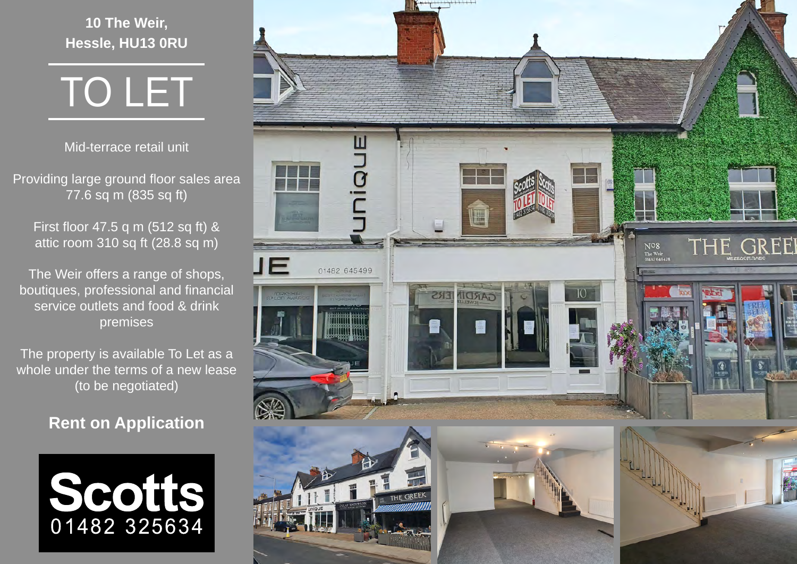**10 The Weir, Hessle, HU13 0RU**

# TO LET

Mid-terrace retail unit

Providing large ground floor sales area 77.6 sq m (835 sq ft)

First floor 47.5 q m (512 sq ft) & attic room 310 sq ft (28.8 sq m)

The Weir offers a range of shops, boutiques, professional and financial service outlets and food & drink premises

The property is available To Let as a whole under the terms of a new lease (to be negotiated)

# **Rent on Application**